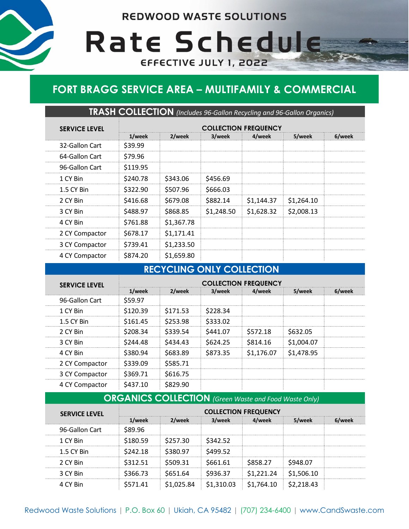**REDWOOD WASTE SOLUTIONS** 

Rate Schedule

EFFECTIVE JULY 1, 2022



# **FORT BRAGG SERVICE AREA – MULTIFAMILY & COMMERCIAL**

**TRASH COLLECTION** *(Includes 96-Gallon Recycling and 96-Gallon Organics)*

| <b>SERVICE LEVEL</b> | <b>COLLECTION FREQUENCY</b> |            |            |            |            |        |
|----------------------|-----------------------------|------------|------------|------------|------------|--------|
|                      | 1/week                      | 2/week     | 3/week     | 4/week     | 5/week     | 6/week |
| 32-Gallon Cart       | \$39.99                     |            |            |            |            |        |
| 64-Gallon Cart       | \$79.96                     |            |            |            |            |        |
| 96-Gallon Cart       | \$119.95                    |            |            |            |            |        |
| 1 CY Bin             | \$240.78                    | \$343.06   | \$456.69   |            |            |        |
| 1.5 CY Bin           | \$322.90                    | \$507.96   | \$666.03   |            |            |        |
| 2 CY Bin             | \$416.68                    | \$679.08   | \$882.14   | \$1,144.37 | \$1,264.10 |        |
| 3 CY Bin             | \$488.97                    | \$868.85   | \$1,248.50 | \$1,628.32 | \$2,008.13 |        |
| 4 CY Bin             | \$761.88                    | \$1,367.78 |            |            |            |        |
| 2 CY Compactor       | \$678.17                    | \$1,171.41 |            |            |            |        |
| 3 CY Compactor       | \$739.41                    | \$1,233.50 |            |            |            |        |
| 4 CY Compactor       | \$874.20                    | \$1,659.80 |            |            |            |        |

### **RECYCLING ONLY COLLECTION**

| <b>SERVICE LEVEL</b> | <b>COLLECTION FREQUENCY</b> |                     |          |            |            |        |  |
|----------------------|-----------------------------|---------------------|----------|------------|------------|--------|--|
|                      | 1/week                      | 2/week              | 3/week   | 4/week     | 5/week     | 6/week |  |
| 96-Gallon Cart       | \$59.97                     |                     |          |            |            |        |  |
| 1 CY Bin             | \$120.39                    | S <sub>171.53</sub> | S228.34  |            |            |        |  |
| 1.5 CY Bin           | \$161.45                    | \$253.98            | \$333.02 |            |            |        |  |
| 2 CY Bin             | \$208.34                    | \$339.54            | S441.07  | \$572.18   | \$632.05   |        |  |
| 3 CY Rin             | \$244.48                    | S434.43             | \$624.25 | \$814.16   | \$1,004.07 |        |  |
| 4 CY Bin             | \$380.94                    | S683.89             | \$873.35 | \$1,176.07 | \$1,478.95 |        |  |
| 2 CY Compactor       | S339.09                     | \$585.71            |          |            |            |        |  |
| 3 CY Compactor       | S369.71                     | \$616.75            |          |            |            |        |  |
| 4 CY Compactor       | S437.10                     | \$829.90            |          |            |            |        |  |

#### **ORGANICS COLLECTION** *(Green Waste and Food Waste Only)*

| <b>SERVICE LEVEL</b> | <b>COLLECTION FREQUENCY</b> |          |          |        |            |  |
|----------------------|-----------------------------|----------|----------|--------|------------|--|
|                      | 'week                       | !/week   | 3/week   | /week  | veek       |  |
| 96-Gallon Cart       | S89.96                      |          |          |        |            |  |
| 1 CY Bin             | 80.59                       | \$257.30 | \$342.52 |        |            |  |
| 1.5 CY Bin           | 142.18                      | 380.97   | \$499.52 |        |            |  |
| 2 CY Bin             | 12.51                       | าจ ว1    | \$661.61 | 358.27 | \$948.07   |  |
| 3 CY Bin             | 866.73                      | \$651.64 | \$936.37 | .24    | \$1.506.10 |  |
| 4 CY Rin             | Δ1                          |          |          | 764.10 | 218 43     |  |